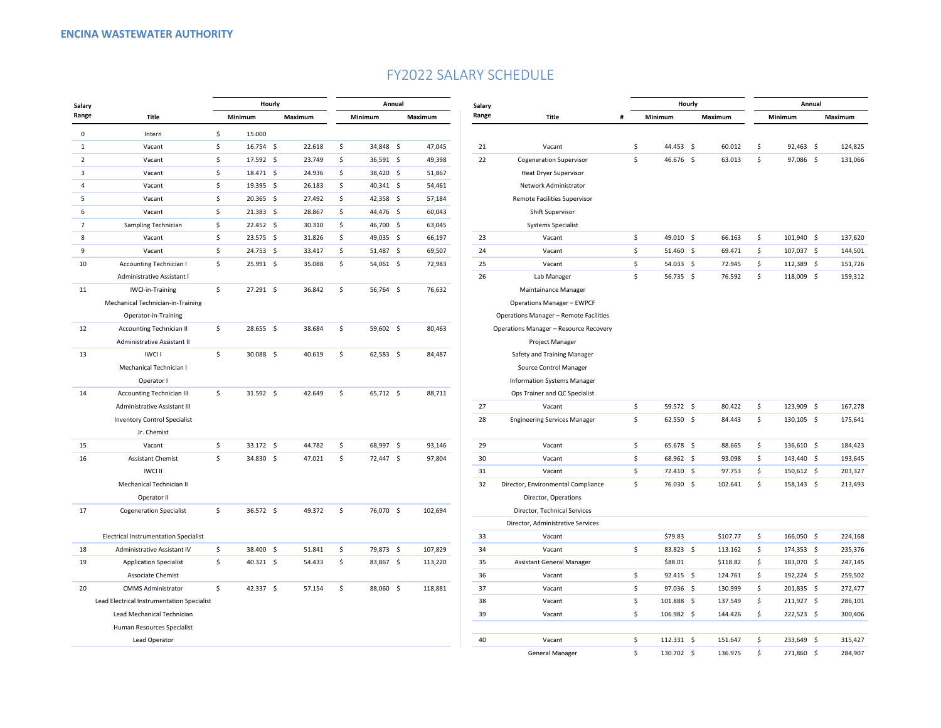## FY2022 SALARY SCHEDULE

| Salary                                     |                                              |                    | Hourly            |  |         |         | Annual      |         |         |                 |                                        |    | Hourly      |         | Annual   |         |             |         |         |
|--------------------------------------------|----------------------------------------------|--------------------|-------------------|--|---------|---------|-------------|---------|---------|-----------------|----------------------------------------|----|-------------|---------|----------|---------|-------------|---------|---------|
| Range                                      | Title                                        |                    | Minimum           |  | Maximum | Minimum |             | Maximum |         | Salary<br>Range | <b>Title</b>                           | #  | Minimum     | Maximum |          | Minimum |             | Maximum |         |
| $\mathsf 0$                                | Intern                                       | \$                 | 15.000            |  |         |         |             |         |         |                 |                                        |    |             |         |          |         |             |         |         |
| 1                                          | Vacant                                       | Ś                  | 16.754 \$         |  | 22.618  | \$      | 34,848 \$   |         | 47,045  | 21              | Vacant                                 | \$ | 44.453 \$   |         | 60.012   | \$      | $92,463$ \$ |         | 124,825 |
| $\overline{2}$                             | Vacant                                       | \$                 | 17.592 \$         |  | 23.749  | \$      | 36,591 \$   |         | 49,398  | 22              | <b>Cogeneration Supervisor</b>         | \$ | 46.676 \$   |         | 63.013   | \$      | 97,086 \$   |         | 131,066 |
| 3                                          | Vacant                                       | Ŝ.                 | 18.471 \$         |  | 24.936  | \$      | 38,420 \$   |         | 51,867  |                 | <b>Heat Dryer Supervisor</b>           |    |             |         |          |         |             |         |         |
| 4                                          | Vacant                                       | \$                 | 19.395 \$         |  | 26.183  | \$      | 40,341 \$   |         | 54,461  |                 | Network Administrator                  |    |             |         |          |         |             |         |         |
| 5                                          | Vacant                                       | Ś                  | 20.365 \$         |  | 27.492  | \$      | 42,358 \$   |         | 57,184  |                 | <b>Remote Facilities Supervisor</b>    |    |             |         |          |         |             |         |         |
| 6                                          | Vacant                                       | \$                 | $21.383 \quad $$  |  | 28.867  | \$      | 44,476 \$   |         | 60,043  |                 | Shift Supervisor                       |    |             |         |          |         |             |         |         |
| $\overline{7}$                             | Sampling Technician                          | \$                 | $22.452 \quad$ \$ |  | 30.310  | \$      | 46,700 \$   |         | 63,045  |                 | <b>Systems Specialist</b>              |    |             |         |          |         |             |         |         |
| 8                                          | Vacant                                       | \$                 | $23.575$ \$       |  | 31.826  | \$      | 49,035 \$   |         | 66,197  | 23              | Vacant                                 | \$ | 49.010 \$   |         | 66.163   | \$      | 101,940 \$  |         | 137,620 |
| 9                                          | Vacant                                       | $\mathsf{\hat{S}}$ | 24.753 \$         |  | 33.417  | \$      | 51,487 \$   |         | 69,507  | 24              | Vacant                                 | \$ | $51.460$ \$ |         | 69.471   | \$      | 107,037 \$  |         | 144,501 |
| 10                                         | <b>Accounting Technician I</b>               | \$                 | 25.991 \$         |  | 35.088  | \$      | 54,061 \$   |         | 72,983  | 25              | Vacant                                 | \$ | $54.033$ \$ |         | 72.945   | \$      | 112,389 \$  |         | 151,726 |
|                                            | Administrative Assistant I                   |                    |                   |  |         |         |             |         |         | 26              | Lab Manager                            | \$ | 56.735 \$   |         | 76.592   | \$      | 118,009 \$  |         | 159,312 |
| 11                                         | IWCI-in-Training                             | \$                 | 27.291 \$         |  | 36.842  | \$      | 56,764 \$   |         | 76,632  |                 | Maintainance Manager                   |    |             |         |          |         |             |         |         |
|                                            | Mechanical Technician-in-Training            |                    |                   |  |         |         |             |         |         |                 | <b>Operations Manager - EWPCF</b>      |    |             |         |          |         |             |         |         |
|                                            | Operator-in-Training                         |                    |                   |  |         |         |             |         |         |                 | Operations Manager - Remote Facilities |    |             |         |          |         |             |         |         |
| 12                                         | <b>Accounting Technician II</b>              | \$                 | 28.655 \$         |  | 38.684  | \$      | 59,602 \$   |         | 80,463  |                 | Operations Manager - Resource Recovery |    |             |         |          |         |             |         |         |
|                                            | Administrative Assistant II                  |                    |                   |  |         |         |             |         |         |                 | Project Manager                        |    |             |         |          |         |             |         |         |
| 13                                         | <b>IWCLI</b>                                 | Ŝ.                 | 30.088 \$         |  | 40.619  | \$      | $62,583$ \$ |         | 84,487  |                 | Safety and Training Manager            |    |             |         |          |         |             |         |         |
|                                            | Mechanical Technician I                      |                    |                   |  |         |         |             |         |         |                 | Source Control Manager                 |    |             |         |          |         |             |         |         |
|                                            | Operator I                                   |                    |                   |  |         |         |             |         |         |                 | <b>Information Systems Manager</b>     |    |             |         |          |         |             |         |         |
| 14                                         | <b>Accounting Technician III</b>             | $\mathsf{\hat{S}}$ | 31.592 \$         |  | 42.649  | \$      | 65,712 \$   |         | 88,711  |                 | Ops Trainer and QC Specialist          |    |             |         |          |         |             |         |         |
|                                            | Administrative Assistant III                 |                    |                   |  |         |         |             |         |         | 27              | Vacant                                 | \$ | 59.572 \$   |         | 80.422   | \$      | 123,909 \$  |         | 167,278 |
|                                            | <b>Inventory Control Specialist</b>          |                    |                   |  |         |         |             |         |         | 28              | <b>Engineering Services Manager</b>    | \$ | $62.550$ \$ |         | 84.443   | \$      | 130,105 \$  |         | 175,641 |
|                                            | Jr. Chemist                                  |                    |                   |  |         |         |             |         |         |                 |                                        |    |             |         |          |         |             |         |         |
| 15                                         | Vacant                                       | \$                 | 33.172 \$         |  | 44.782  | \$      | 68,997 \$   |         | 93,146  | 29              | Vacant                                 | \$ | 65.678 \$   |         | 88.665   | \$      | 136,610 \$  |         | 184,423 |
| 16                                         | <b>Assistant Chemist</b>                     | Ŝ                  | 34.830 \$         |  | 47.021  | \$      | 72,447 \$   |         | 97,804  | 30              | Vacant                                 | \$ | 68.962 \$   |         | 93.098   | \$      | 143,440 \$  |         | 193,645 |
|                                            | <b>IWCI II</b>                               |                    |                   |  |         |         |             |         |         | 31              | Vacant                                 | \$ | 72.410 \$   |         | 97.753   | \$      | 150,612 \$  |         | 203,327 |
|                                            | Mechanical Technician II                     |                    |                   |  |         |         |             |         |         | 32              | Director, Environmental Compliance     | \$ | 76.030 \$   |         | 102.641  | \$      | 158,143 \$  |         | 213,493 |
|                                            | Operator II                                  |                    |                   |  |         |         |             |         |         |                 | Director, Operations                   |    |             |         |          |         |             |         |         |
| 17                                         | <b>Cogeneration Specialist</b>               | \$                 | 36.572 \$         |  | 49.372  | \$      | 76,070 \$   |         | 102,694 |                 | Director, Technical Services           |    |             |         |          |         |             |         |         |
|                                            |                                              |                    |                   |  |         |         |             |         |         |                 | Director, Administrative Services      |    |             |         |          |         |             |         |         |
|                                            | <b>Electrical Instrumentation Specialist</b> |                    |                   |  |         |         |             |         |         | 33              | Vacant                                 |    | \$79.83     |         | \$107.77 | \$      | 166,050 \$  |         | 224,168 |
| 18                                         | Administrative Assistant IV                  | \$                 | 38.400 \$         |  | 51.841  | \$      | 79,873 \$   |         | 107,829 | 34              | Vacant                                 | \$ | 83.823 \$   |         | 113.162  | \$      | 174,353 \$  |         | 235,376 |
| 19                                         | <b>Application Specialist</b>                | Ś                  | 40.321 \$         |  | 54.433  | \$      | 83,867 \$   |         | 113,220 | 35              | Assistant General Manager              |    | \$88.01     |         | \$118.82 | \$      | 183,070 \$  |         | 247,145 |
|                                            | <b>Associate Chemist</b>                     |                    |                   |  |         |         |             |         |         | 36              | Vacant                                 | \$ | $92.415$ \$ |         | 124.761  | \$      | 192,224 \$  |         | 259,502 |
| 20                                         | <b>CMMS Administrator</b>                    | \$                 | 42.337 \$         |  | 57.154  | \$      | 88,060 \$   |         | 118,881 | 37              | Vacant                                 | \$ | 97.036 \$   |         | 130.999  | \$      | 201,835 \$  |         | 272,477 |
| Lead Electrical Instrumentation Specialist |                                              |                    |                   |  |         |         |             |         |         | 38              | Vacant                                 | \$ | 101.888 \$  |         | 137.549  | \$      | 211,927 \$  |         | 286,101 |
|                                            | Lead Mechanical Technician                   |                    |                   |  |         |         |             |         |         | 39              | Vacant                                 | \$ | 106.982 \$  |         | 144.426  | \$      | 222,523 \$  |         | 300,406 |
|                                            | Human Resources Specialist                   |                    |                   |  |         |         |             |         |         |                 |                                        |    |             |         |          |         |             |         |         |
|                                            | Lead Operator                                |                    |                   |  |         |         |             |         |         | 40              | Vacant                                 | \$ | 112.331 \$  |         | 151.647  | \$      | 233,649 \$  |         | 315,427 |
|                                            |                                              |                    |                   |  |         |         |             |         |         |                 | <b>General Manager</b>                 | Ś. | 130.702 \$  |         | 136.975  | Ŝ.      | 271,860 \$  |         | 284,907 |